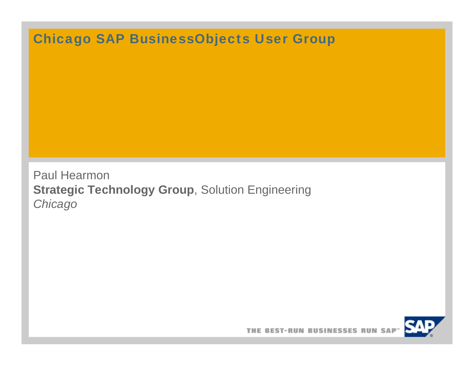# Chicago SAP BusinessObjects User Group

Paul Hearmon **Strategic Technology Group**, Solution Engineering *Chicago*

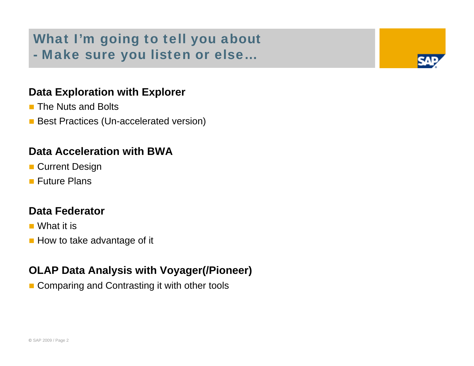# What I'm going to tell you about - Make sure you listen or else…

#### **Data Exploration with Explorer**

- **The Nuts and Bolts**
- **Best Practices (Un-accelerated version)**

#### **Data Acceleration with BWA**

- **Current Design**
- **Future Plans**

#### **Data Federator**

- What it is
- **How to take advantage of it**

#### **OLAP Data Analysis with Voyager(/Pioneer)**

■ Comparing and Contrasting it with other tools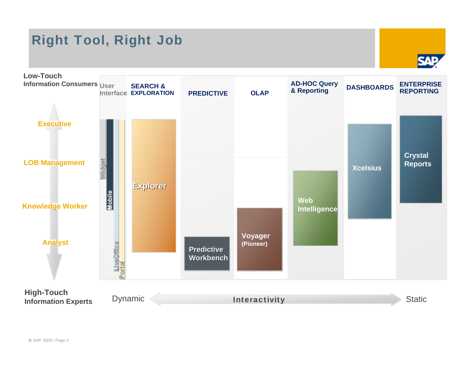# Right Tool, Right Job





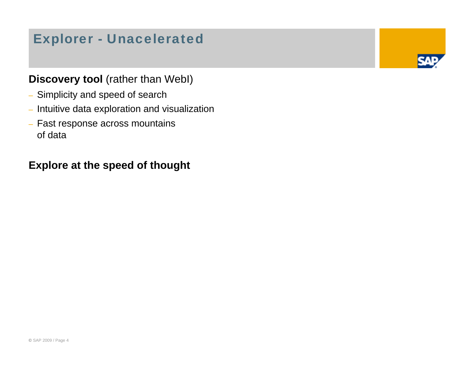# Explorer - Unacelerated

### **Discovery tool** (rather than WebI)

- Simplicity and speed of search
- Intuitive data exploration and visualization
- Fast response across mountains of data

### **Explore at the speed of thought**

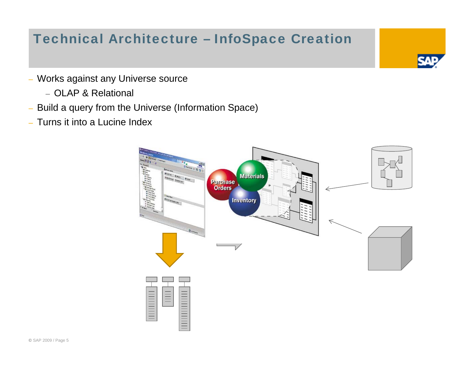# Technical Architecture – InfoSpace Creation

- Works against any Universe source
	- OLAP & Relational
- Build a query from the Universe (Information Space)
- Turns it into a Lucine Index

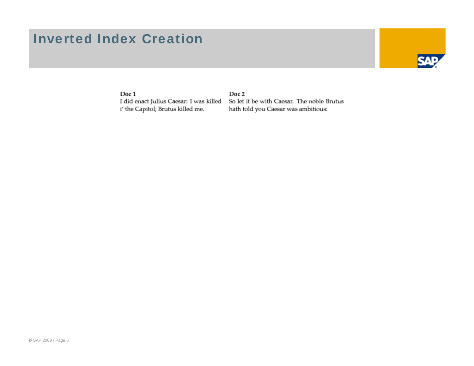### Inverted Index Creation



Doc 1

I did enact Julius Caesar: I was killed i' the Capitol; Brutus killed me.

Doc 2 So let it be with Caesar. The noble Brutus hath told you Caesar was ambitious: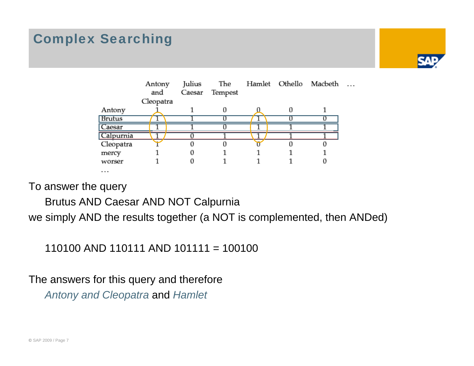# Complex Searching





To answer the query

Brutus AND Caesar AND NOT Calpurnia

we simply AND the results together (a NOT is complemented, then ANDed)

110100 AND 110111 AND 101111 = 100100

The answers for this query and therefore *Antony and Cleopatra* and *Hamlet*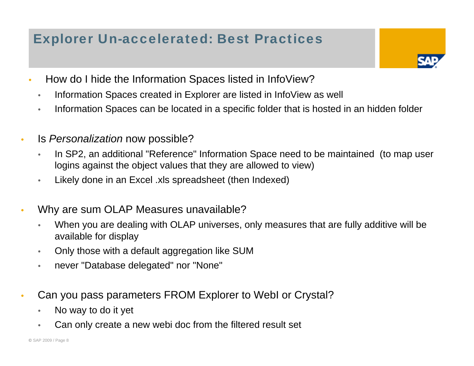# Explorer Un-accelerated: Best Practices

- How do I hide the Information Spaces listed in InfoView?
	- Information Spaces created in Explorer are listed in InfoView as well
	- Information Spaces can be located in a specific folder that is hosted in an hidden folder
- Is *Personalization* now possible?
	- In SP2, an additional "Reference" Information Space need to be maintained (to map user logins against the object values that they are allowed to view)
	- Likely done in an Excel .xls spreadsheet (then Indexed)
- • Why are sum OLAP Measures unavailable?
	- When you are dealing with OLAP universes, only measures that are fully additive will be available for display
	- Only those with a default aggregation like SUM
	- never "Database delegated" nor "None"
- • Can you pass parameters FROM Explorer to WebI or Crystal?
	- No way to do it yet
	- Can only create a new webi doc from the filtered result set

•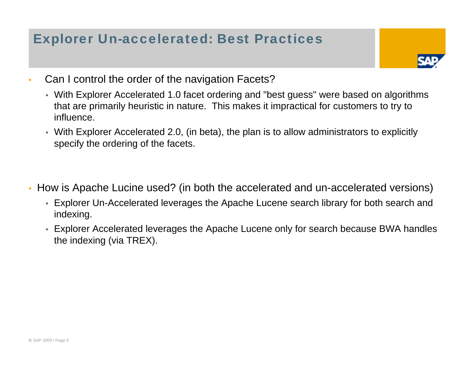# Explorer Un-accelerated: Best Practices

- Can I control the order of the navigation Facets?
	- With Explorer Accelerated 1.0 facet ordering and "best guess" were based on algorithms that are primarily heuristic in nature. This makes it impractical for customers to try to influence.
	- With Explorer Accelerated 2.0, (in beta), the plan is to allow administrators to explicitly specify the ordering of the facets.
- How is Apache Lucine used? (in both the accelerated and un-accelerated versions)
	- Explorer Un-Accelerated leverages the Apache Lucene search library for both search and indexing.
	- Explorer Accelerated leverages the Apache Lucene only for search because BWA handles the indexing (via TREX).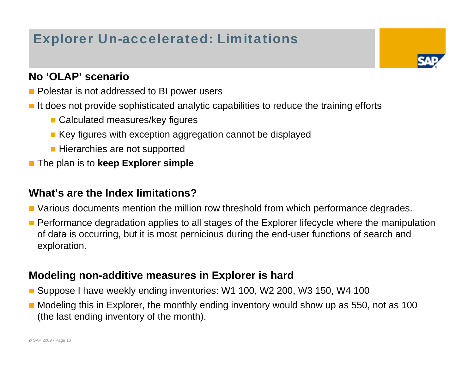# Explorer Un-accelerated: Limitations

### **No 'OLAP' scenario**

- **Polestar is not addressed to BI power users**
- It does not provide sophisticated analytic capabilities to reduce the training efforts
	- **Calculated measures/key figures**
	- **EXECT** Key figures with exception aggregation cannot be displayed
	- **Hierarchies are not supported**
- × The plan is to **keep Explorer simple**

#### **What's are the Index limitations?**

- **Narious documents mention the million row threshold from which performance degrades.**
- r. Performance degradation applies to all stages of the Explorer lifecycle where the manipulation of data is occurring, but it is most pernicious during the end-user functions of search and exploration.

### **Modeling non-additive measures in Explorer is hard**

- r. Suppose I have weekly ending inventories: W1 100, W2 200, W3 150, W4 100
- **Nodeling this in Explorer, the monthly ending inventory would show up as 550, not as 100** (the last ending inventory of the month).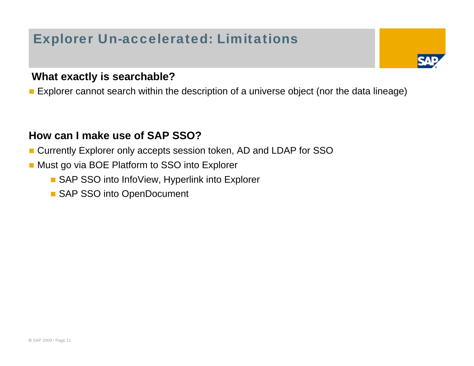# Explorer Un-accelerated: Limitations

#### **What exactly is searchable?**

Explorer cannot search within the description of a universe object (nor the data lineage)

#### **How can I make use of SAP SSO?**

- × Currently Explorer only accepts session token, AD and LDAP for SSO
- r. Must go via BOE Platform to SSO into Explorer
	- SAP SSO into InfoView, Hyperlink into Explorer
	- SAP SSO into OpenDocument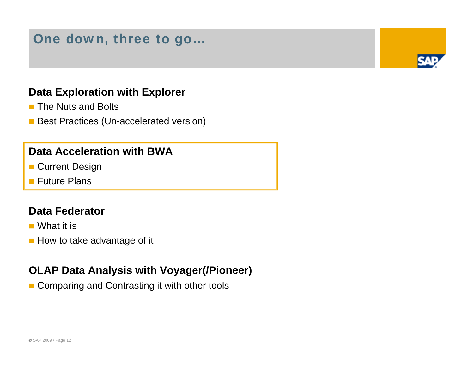## One down, three to go…

#### **Data Exploration with Explorer**

- **The Nuts and Bolts**
- **Best Practices (Un-accelerated version)**

#### **Data Acceleration with BWA**

- **Current Design**
- **Future Plans**

#### **Data Federator**

- What it is
- **How to take advantage of it**

#### **OLAP Data Analysis with Voyager(/Pioneer)**

■ Comparing and Contrasting it with other tools

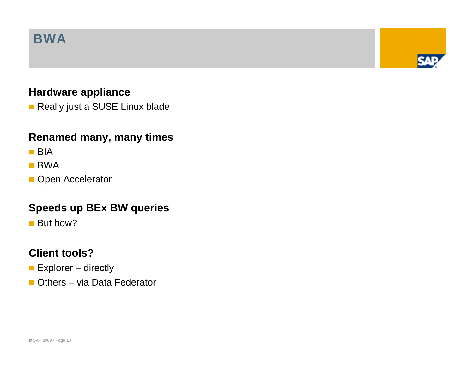## BWA

### **Hardware appliance**

**Really just a SUSE Linux blade** 

### **Renamed many, many times**

- BIA
- **BWA**
- **Open Accelerator**

#### **Speeds up BEx BW queries**

**But how?** 

#### **Client tools?**

- **Explorer** directly
- **Others via Data Federator**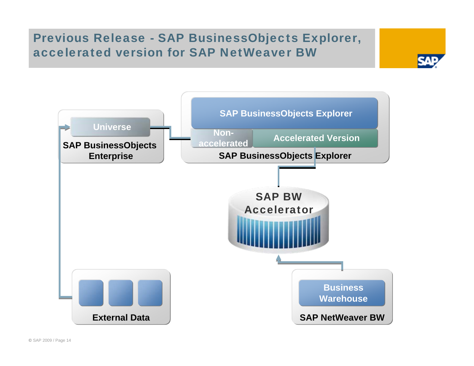### Previous Release - SAP BusinessObjects Explorer, accelerated version for SAP NetWeaver BW

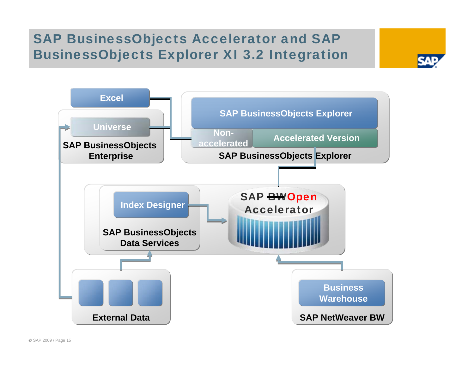# SAP BusinessObjects Accelerator and SAP BusinessObjects Explorer XI 3.2 Integration

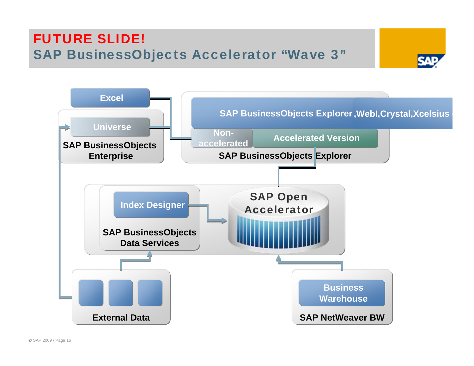# FUTURE SLIDE! SAP BusinessObjects Accelerator "Wave 3"



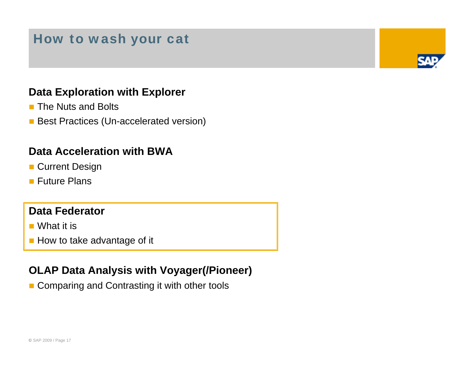## How to wash your cat

### **Data Exploration with Explorer**

- **The Nuts and Bolts**
- **Best Practices (Un-accelerated version)**

#### **Data Acceleration with BWA**

- **Current Design**
- **Future Plans**

#### **Data Federator**

- What it is
- **How to take advantage of it**

#### **OLAP Data Analysis with Voyager(/Pioneer)**

■ Comparing and Contrasting it with other tools

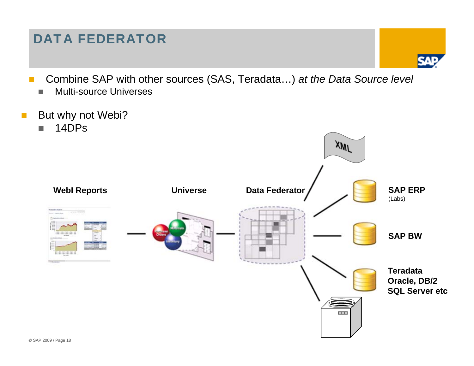# DATA FEDERATOR

- Combine SAP with other sources (SAS, Teradata…) *at the Data Source level*
	- П Multi-source Universes
- But why not Webi?
	- m. 14DPs

M.

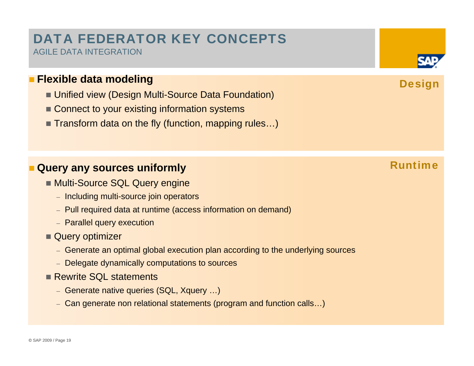### DATA FEDERATOR KEY CONCEPTS AGILE DATA INTEGRATION

#### **Flexible data modeling**

- Unified view (Design Multi-Source Data Foundation)
- Connect to your existing information systems
- Transform data on the fly (function, mapping rules...)

### **Query any sources uniformly**

- **Multi-Source SQL Query engine** 
	- Including multi-source join operators
	- Pull required data at runtime (access information on demand)
	- Parallel query execution
- Query optimizer
	- Generate an optimal global execution plan according to the underlying sources
	- Delegate dynamically computations to sources
- **Rewrite SQL statements** 
	- Generate native queries (SQL, Xquery …)
	- Can generate non relational statements (program and function calls…)

### Runtime



**Design**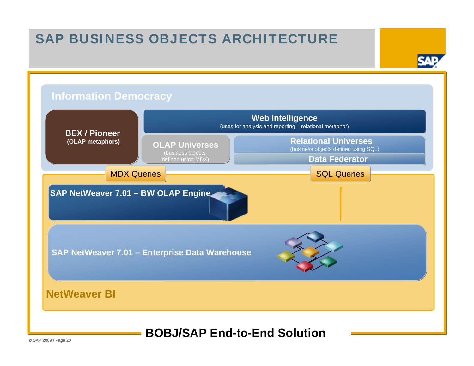# SAP BUSINESS OBJECTS ARCHITECTURE

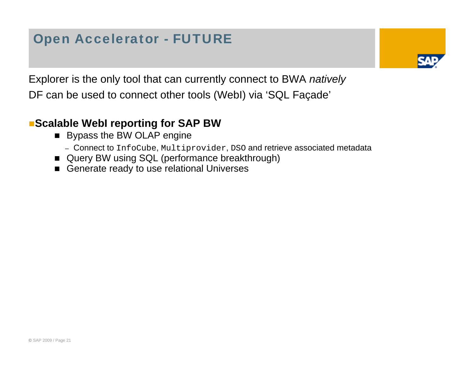# Open Accelerator - FUTURE



Explorer is the only tool that can currently connect to BWA *natively*  DF can be used to connect other tools (WebI) via 'SQL Façade'

### **Scalable WebI reporting for SAP BW**

- **Bypass the BW OLAP engine** 
	- Connect to InfoCube, Multiprovider, DSO and retrieve associated metadata
- Query BW using SQL (performance breakthrough)
- $\blacksquare$ Generate ready to use relational Universes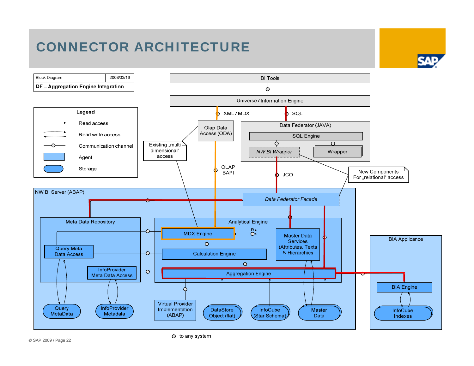# CONNECTOR ARCHITECTURE

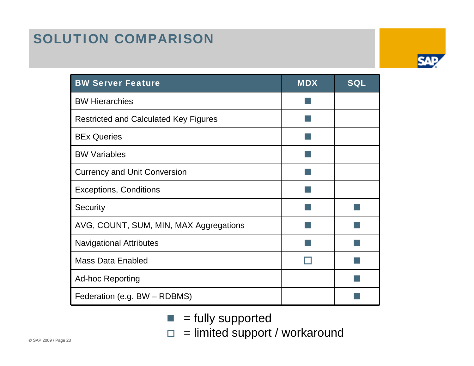# SOLUTION COMPARISON

| <b>BW Server Feature</b>                     | <b>MDX</b> | <b>SQL</b> |
|----------------------------------------------|------------|------------|
| <b>BW Hierarchies</b>                        |            |            |
| <b>Restricted and Calculated Key Figures</b> |            |            |
| <b>BEx Queries</b>                           |            |            |
| <b>BW Variables</b>                          |            |            |
| <b>Currency and Unit Conversion</b>          |            |            |
| <b>Exceptions, Conditions</b>                |            |            |
| Security                                     |            |            |
| AVG, COUNT, SUM, MIN, MAX Aggregations       |            |            |
| <b>Navigational Attributes</b>               |            |            |
| <b>Mass Data Enabled</b>                     |            |            |
| <b>Ad-hoc Reporting</b>                      |            |            |
| Federation (e.g. BW - RDBMS)                 |            |            |

- $\blacksquare$  = fully supported
- $\Box$  $=$  limited support / workaround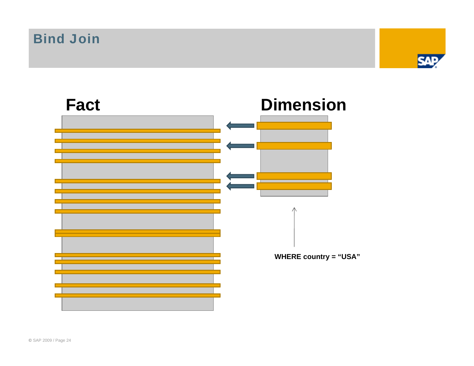Bind Join



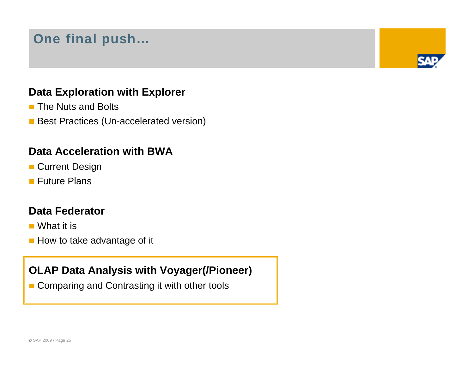# One final push…

### **Data Exploration with Explorer**

- **The Nuts and Bolts**
- **Best Practices (Un-accelerated version)**

#### **Data Acceleration with BWA**

- **Current Design**
- **Future Plans**

#### **Data Federator**

- What it is
- **How to take advantage of it**

#### **OLAP Data Analysis with Voyager(/Pioneer)**

■ Comparing and Contrasting it with other tools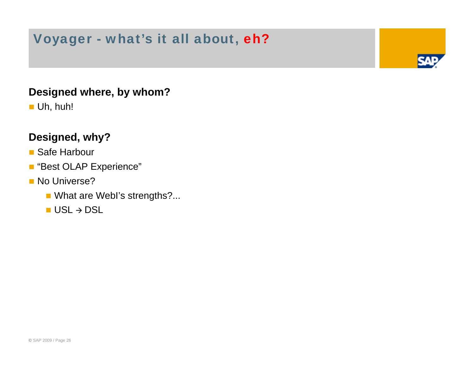# Voyager - what's it all about, eh?

#### **Designed where, by whom?**

■ Uh, huh!

### **Designed, why?**

#### ■ Safe Harbour

- "Best OLAP Experience"
- **No Universe?** 
	- What are WebI's strengths?...
	- $\blacksquare$  USL  $\rightarrow$  DSL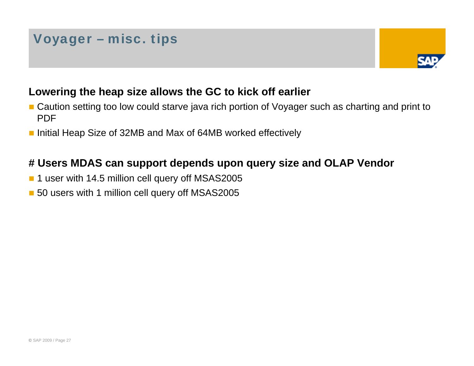# Voyager – misc. tips



#### **Lowering the heap size allows the GC to kick off earlier**

- **E** Caution setting too low could starve java rich portion of Voyager such as charting and print to PDF
- Initial Heap Size of 32MB and Max of 64MB worked effectively

### **# Users MDAS can support depends upon query size and OLAP Vendor**

- $\mathbb{R}^3$ 1 user with 14.5 million cell query off MSAS2005
- 50 users with 1 million cell query off MSAS2005